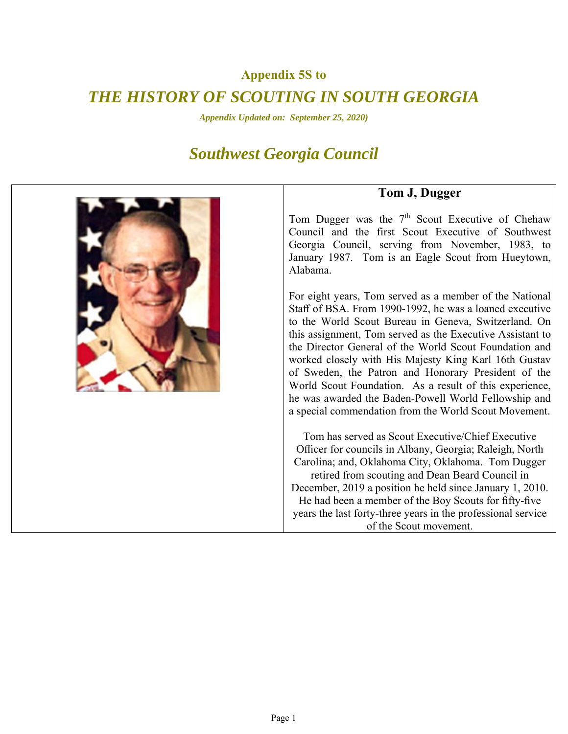## **Appendix 5S to**

## *THE HISTORY OF SCOUTING IN SOUTH GEORGIA*

*Appendix Updated on: September 25, 2020)* 

## *Southwest Georgia Council*



## **Tom J, Dugger**

Tom Dugger was the  $7<sup>th</sup>$  Scout Executive of Chehaw Council and the first Scout Executive of Southwest Georgia Council, serving from November, 1983, to January 1987. Tom is an Eagle Scout from Hueytown, Alabama.

For eight years, Tom served as a member of the National Staff of BSA. From 1990‐1992, he was a loaned executive to the World Scout Bureau in Geneva, Switzerland. On this assignment, Tom served as the Executive Assistant to the Director General of the World Scout Foundation and worked closely with His Majesty King Karl 16th Gustav of Sweden, the Patron and Honorary President of the World Scout Foundation. As a result of this experience, he was awarded the Baden‐Powell World Fellowship and a special commendation from the World Scout Movement.

Tom has served as Scout Executive/Chief Executive Officer for councils in Albany, Georgia; Raleigh, North Carolina; and, Oklahoma City, Oklahoma. Tom Dugger retired from scouting and Dean Beard Council in December, 2019 a position he held since January 1, 2010. He had been a member of the Boy Scouts for fifty‐five years the last forty‐three years in the professional service of the Scout movement.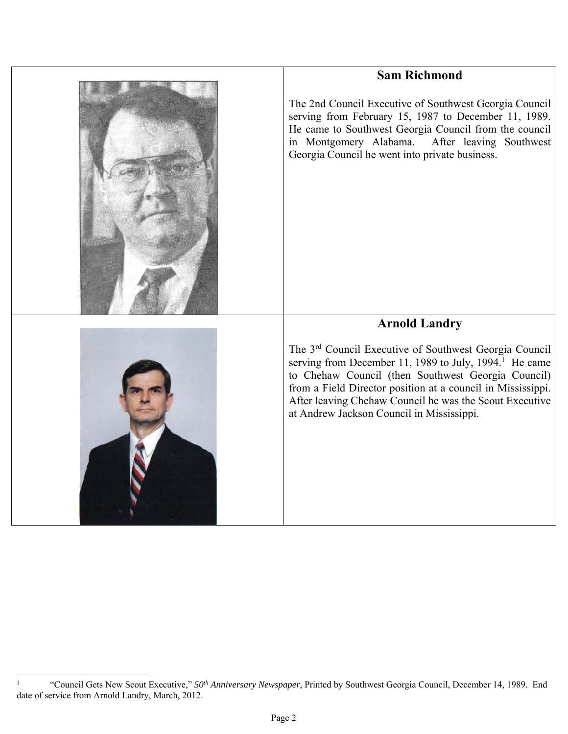| <b>Sam Richmond</b>                                                                                                                                                                                                                                                            |
|--------------------------------------------------------------------------------------------------------------------------------------------------------------------------------------------------------------------------------------------------------------------------------|
| The 2nd Council Executive of Southwest Georgia Council<br>serving from February 15, 1987 to December 11, 1989.<br>He came to Southwest Georgia Council from the council<br>in Montgomery Alabama.<br>After leaving Southwest<br>Georgia Council he went into private business. |
| <b>Arnold Landry</b><br>The 3 <sup>rd</sup> Council Executive of Southwest Georgia Council<br>serving from December 11, 1989 to July, 1994. <sup>1</sup> He came<br>to Chehaw Council (then Southwest Georgia Council)                                                         |
| from a Field Director position at a council in Mississippi.<br>After leaving Chehaw Council he was the Scout Executive<br>at Andrew Jackson Council in Mississippi.                                                                                                            |

 1 "Council Gets New Scout Executive," *50th Anniversary Newspaper*, Printed by Southwest Georgia Council, December 14, 1989. End date of service from Arnold Landry, March, 2012.